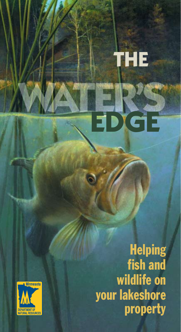# **The**

**Edge**



**Helping** fish and wildlife on your lakeshore property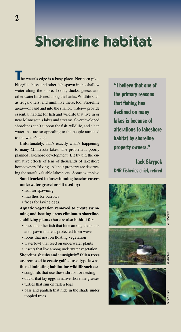### **Shoreline habitat Shoreline habitat**

**The water's edge is a busy place. Northern pike,** bluegills, bass, and other fish spawn in the shallow water along the shore. Loons, ducks, geese, and other water birds nest along the banks. Wildlife such as frogs, otters, and mink live there, too. Shoreline areas—on land and into the shallow water— provide essential habitat for fish and wildlife that live in or near Minnesota's lakes and streams. Overdeveloped shorelines can't support the fish, wildlife, and clean water that are so appealing to the people attracted to the water's edge.

Unfortunately, that's exactly what's happening to many Minnesota lakes. The problem is poorly planned lakeshore development. Bit by bit, the cumulative effects of tens of thousands of lakeshore homeowners "fixing up" their property are destroying the state's valuable lakeshores. Some examples:

#### **Sand trucked in for swimming beaches covers underwater gravel or silt used by:**

- fish for spawning
- • mayflies for burrows
- frogs for laying eggs.

#### **Aquatic vegetation removed to create swimming and boating areas eliminates shorelinestabilizing plants that are also habitat for:**

- • bass and other fish that hide among the plants and spawn in areas protected from waves
- loons that nest on floating vegetation
- waterfowl that feed on underwater plants

• insects that live among underwater vegetation. **Shoreline shrubs and "unsightly" fallen trees are removed to create golf course-type lawns, thus eliminating habitat for wildlife such as:**

- songbirds that use these shrubs for nesting
- ducks that lay eggs in native shoreline grasses
- turtles that sun on fallen logs
- • bass and panfish that hide in the shade under toppled trees.

"I believe that one of the primary reasons that fishing has declined on many lakes is because of alterations to lakeshore habitat by shoreline property owners."

 Jack Skrypek DNR Fisheries chief, retired

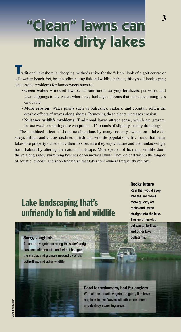### **"Clean" lawns can "Clean" lawns can make dirty lakes make dirty lakes**

raditional lakeshore landscaping methods strive for the "clean" look of a golf course or T a Hawaiian beach. Yet, besides eliminating fish and wildlife habitat, this type of landscaping also creates problems for homeowners such as:

- • **Green water:** A mowed lawn sends rain runoff carrying fertilizers, pet waste, and lawn clippings to the water, where they fuel algae blooms that make swimming less enjoyable.
- • **More erosion:** Water plants such as bulrushes, cattails, and coontail soften the erosive effects of waves along shores. Removing these plants increases erosion.
- • **Nuisance wildlife problems:** Traditional lawns attract geese, which are grazers. In one week, an adult goose can produce 15 pounds of slippery, smelly droppings.

The combined effect of shoreline alterations by many property owners on a lake destroys habitat and causes declines in fish and wildlife populations. It's ironic that many lakeshore property owners buy their lots because they enjoy nature and then unknowingly harm habitat by altering the natural landscape. Most species of fish and wildlife don't thrive along sandy swimming beaches or on mowed lawns. They do best within the tangles of aquatic "weeds" and shoreline brush that lakeshore owners frequently remove.

### Lake landscaping that's unfriendly to fish and wildlife

#### Rocky future

**3**

**Rain that would seep into the soil flows more quickly off rocks and lawns straight into the lake. The runoff carries pet waste, fertilizer, and other lake pollutants.**

#### Sorry, songbirds

**All natural vegetation along the water's edge has been eliminated—and with it has gone the shrubs and grasses needed by birds, butterflies, and other wildlife.** 

> Good for swimmers, bad for anglers **With all the aquatic vegetation gone, fish have no place to live. Waves will stir up sediment and destroy spawning areas.**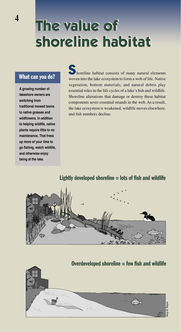### **The value of The value of shoreline habitat shoreline habitat**

#### What can you do?

**A growing number of lakeshore owners are switching from traditional mowed lawns to native grasses and wildflowers. In addition to helping wildlife, native plants require little to no maintenance. That frees up more of your time to go fishing, watch wildlife, and otherwise enjoy being at the lake.** 

 horeline habitat consists of many natural elements woven into the lake ecosystem to form a web of life. Native vegetation, bottom materials, and natural debris play essential roles in the life cycles of a lake's fish and wildlife. Shoreline alterations that damage or destroy these habitat components sever essential strands in the web. As a result, the lake ecosystem is weakened, wildlife moves elsewhere, and fish numbers decline. S

#### Lightly developed shoreline  $=$  lots of fish and wildlife



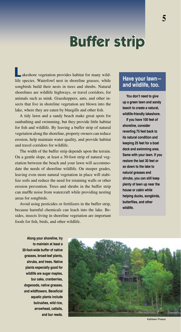### **Buffer strip Buffer strip**

 akeshore vegetation provides habitat for many wildlife species. Waterfowl nest in shoreline grasses, while songbirds build their nests in trees and shrubs. Natural shorelines are wildlife highways, or travel corridors, for animals such as mink. Grasshoppers, ants, and other insects that live in shoreline vegetation are blown into the lake, where they are eaten by bluegills and other fish. akeshore vegetation provides habitat for many wild-<br>life species. Waterfowl nest in shoreline grasses, while **Have your lawn—** 

A tidy lawn and a sandy beach make great spots for sunbathing and swimming, but they provide little habitat for fish and wildlife. By leaving a buffer strip of natural vegetation along the shoreline, property owners can reduce erosion, help maintain water quality, and provide habitat and travel corridors for wildlife.

The width of the buffer strip depends upon the terrain. On a gentle slope, at least a 30-foot strip of natural vegetation between the beach and your lawn will accommodate the needs of shoreline wildlife. On steeper grades, leaving even more natural vegetation in place will stabilize soils and reduce the need for retaining walls or other erosion prevention. Trees and shrubs in the buffer strip can muffle noise from watercraft while providing nesting areas for songbirds.

Avoid using pesticides or fertilizers in the buffer strip, because harmful chemicals can leach into the lake. Besides, insects living in shoreline vegetation are important foods for fish, birds, and other wildlife.

### **and wildlife, too.**

**You don't need to give up a green lawn and sandy beach to create a natural, wildlife-friendly lakeshore.**

**If you have 100 feet of shoreline, consider reverting 75 feet back to its natural condition and keeping 25 feet for a boat dock and swimming area. Same with your lawn. If you restore the last 30 feet or so down to the lake to natural grasses and shrubs, you can still keep plenty of lawn up near the house or cabin while helping ducks, songbirds, butterflies, and other wildlife.** 

**Along your shoreline, try to maintain at least a 30-foot-wide buffer of native grasses, broad-leaf plants, shrubs, and trees. Native plants especially good for wildlife are sugar maples, bur oaks, cranberries, dogwoods, native grasses, and wildflowers. Beneficial aquatic plants include bulrushes, wild rice, arrowhead, cattails, and bur reeds.**



Kathleen Preece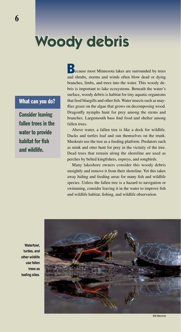# **Woody debris Woody debris**

#### What can you do?

Consider leaving fallen trees in the water to provide habitat for fish and wildlife.

Because most Minnesota lakes are surrounded by trees and shrubs, storms and winds often blow dead or dying branches, limbs, and trees into the water. This woody debris is important to lake ecosystems. Beneath the water's surface, woody debris is habitat for tiny aquatic organisms that feed bluegills and other fish. Water insects such as mayflies graze on the algae that grows on decomposing wood. Dragonfly nymphs hunt for prey among the stems and branches. Largemouth bass find food and shelter among fallen trees.

Above water, a fallen tree is like a dock for wildlife. Ducks and turtles loaf and sun themselves on the trunk. Muskrats use the tree as a feeding platform. Predators such as mink and otter hunt for prey in the vicinity of the tree. Dead trees that remain along the shoreline are used as perches by belted kingfishers, ospreys, and songbirds.

Many lakeshore owners consider this woody debris unsightly and remove it from their shoreline. Yet this takes away hiding and feeding areas for many fish and wildlife species. Unless the fallen tree is a hazard to navigation or swimming, consider leaving it in the water to improve fish and wildlife habitat, fishing, and wildlife observation.

**Waterfowl, turtles, and other wildlife use fallen trees as loafing sites.**

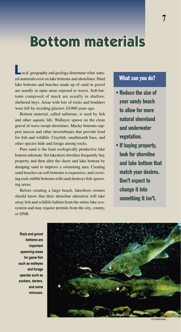### **Bottom materials Bottom materials**

ocal geography and geology determine what natural materials exist on lake bottoms and shorelines. Hard lake bottoms and beaches made up of sand or gravel are usually in open areas exposed to waves. Soft bottoms composed of muck are usually in shallow, sheltered bays. Areas with lots of rocks and boulders were left by receding glaciers 10,000 years ago. L

Bottom material, called substrate, is used by fish and other aquatic life. Walleyes spawn on the clean gravel of wave-swept shorelines. Mucky bottoms support insects and other invertebrates that provide food for fish and wildlife. Crayfish, smallmouth bass, and other species hide and forage among rocks.

Pure sand is the least ecologically productive lake bottom substrate. Yet lakeshore dwellers frequently buy property and then alter the shore and lake bottom by dumping sand to improve a swimming area. Creating sand beaches on soft bottoms is expensive, and covering rock-rubble bottoms with sand destroys fish spawning areas.

Before creating a large beach, lakeshore owners should know that their shoreline alteration will take away fish and wildlife habitat from the entire lake ecosystem and may require permits from the city, county, or DNR.

#### What can you do?

- Reduce the size of your sandy beach to allow for more natural shoreland and underwater vegetation.
- If buving property. look for shoreline and lake bottom that match your desires. Don't expect to change it into something it isn't.

**Rock and gravel bottoms are important spawning areas for game fish such as walleyes and forage species such as suckers, darters, and some minnows.**

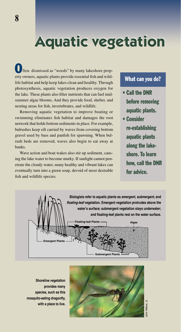# **Aquatic vegetation Aquatic vegetation**

ften dismissed as "weeds" by many lakeshore prop-**O** ften dismissed as "weeds" by many lakeshore property owners, aquatic plants provide essential fish and wildlife habitat and help keep lakes clean and healthy. Through photosynthesis, aquatic vegetation produces oxygen for the lake. These plants also filter nutrients that can fuel midsummer algae blooms. And they provide food, shelter, and nesting areas for fish, invertebrates, and wildlife.

Removing aquatic vegetation to improve boating or swimming eliminates fish habitat and damages the root network that holds bottom sediments in place. For example, bulrushes keep silt carried by waves from covering bottom gravel used by bass and panfish for spawning. When bulrush beds are removed, waves also begin to eat away at banks.

Wave action and boat wakes also stir up sediment, causing the lake water to become murky. If sunlight cannot penetrate the cloudy water, many healthy and vibrant lakes can eventually turn into a green soup, devoid of most desirable fish and wildlife species.

#### What can you do?

- Call the DNR before removing aquatic plants.
- Consider re-establishing aquatic plants along the lakeshore. To learn how, call the DNR for advice.



**Shoreline vegetation provides many species, such as this mosquito‑eating dragonfly, with a place to live.**

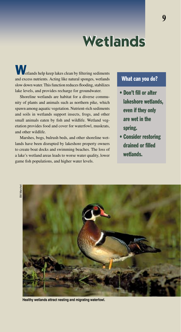### **Wetlands Wetlands**

**W**etlands help keep lakes clean by filtering sediments and excess nutrients. Acting like natural sponges, wetlands slow down water. This function reduces flooding, stabilizes lake levels, and provides recharge for groundwater.

Shoreline wetlands are habitat for a diverse community of plants and animals such as northern pike, which spawn among aquatic vegetation. Nutrient-rich sediments and soils in wetlands support insects, frogs, and other small animals eaten by fish and wildlife. Wetland vegetation provides food and cover for waterfowl, muskrats, and other wildlife.

Marshes, bogs, bulrush beds, and other shoreline wetlands have been disrupted by lakeshore property owners to create boat docks and swimming beaches. The loss of a lake's wetland areas leads to worse water quality, lower game fish populations, and higher water levels.

#### What can you do?

- Don't fill or alter lakeshore wetlands, even if they only are wet in the spring.
- Consider restoring drained or filled wetlands.



**Healthy wetlands attract nesting and migrating waterfowl.**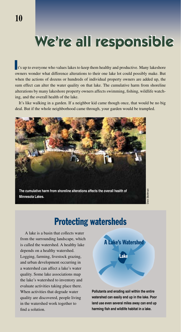### **We're all responsible We're all responsible**

It's up to everyone who values lakes to keep them healthy and productive. Many lakeshore owners wonder what difference alterations to their one lake lot could possibly make. But when the actions of dozens or hundreds of individual property owners are added up, the sum effect can alter the water quality on that lake. The cumulative harm from shoreline alterations by many lakeshore property owners affects swimming, fishing, wildlife watching, and the overall health of the lake.

It's like walking in a garden. If a neighbor kid came though once, that would be no big deal. But if the whole neighborhood came through, your garden would be trampled.



### Protecting watersheds

A lake is a basin that collects water from the surrounding landscape, which is called the watershed. A healthy lake depends on a healthy watershed. Logging, farming, livestock grazing, and urban development occurring in a watershed can affect a lake's water quality. Some lake associations map the lake's watershed to inventory and evaluate activities taking place there. When activities that degrade water quality are discovered, people living in the watershed work together to find a solution.



**Pollutants and eroding soil within the entire watershed can easily end up in the lake. Poor land use even several miles away can end up harming fish and wildlife habitat in a lake.**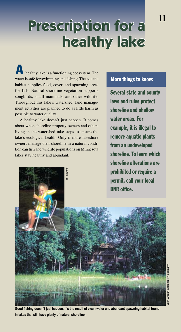# **Prescription for a Prescription for a healthy lake healthy lake**

healthy lake is a functioning ecosystem. The water is safe for swimming and fishing. The aquatic habitat supplies food, cover, and spawning areas for fish. Natural shoreline vegetation supports songbirds, small mammals, and other wildlife. Throughout this lake's watershed, land management activities are planned to do as little harm as possible to water quality. A

A healthy lake doesn't just happen. It comes about when shoreline property owners and others living in the watershed take steps to ensure the lake's ecological health. Only if more lakeshore owners manage their shoreline in a natural condition can fish and wildlife populations on Minnesota lakes stay healthy and abundant.

#### More things to know:

**11**

Several state and county laws and rules protect shoreline and shallow water areas. For example, it is illegal to remove aquatic plants from an undeveloped shoreline. To learn which shoreline alterations are prohibited or require a DNR office.